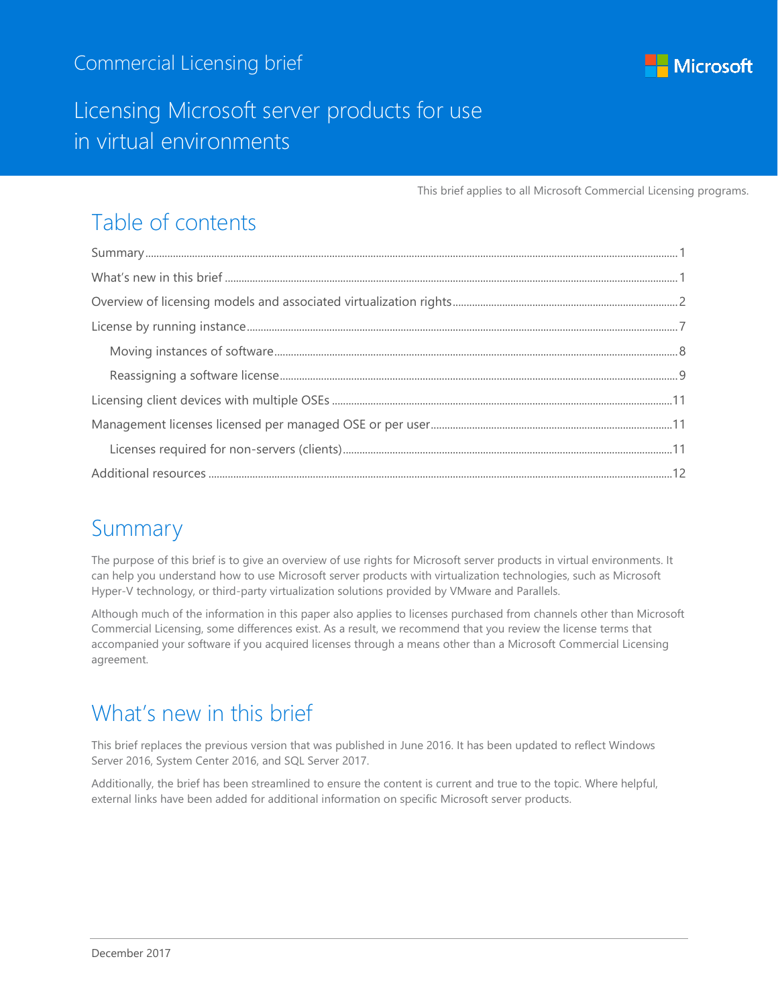

### Licensing Microsoft server products for use in virtual environments

This brief applies to all Microsoft Commercial Licensing programs.

## Table of contents

## <span id="page-0-0"></span>Summary

The purpose of this brief is to give an overview of use rights for Microsoft server products in virtual environments. It can help you understand how to use Microsoft server products with virtualization technologies, such as Microsoft Hyper-V technology, or third-party virtualization solutions provided by VMware and Parallels.

Although much of the information in this paper also applies to licenses purchased from channels other than Microsoft Commercial Licensing, some differences exist. As a result, we recommend that you review the license terms that accompanied your software if you acquired licenses through a means other than a Microsoft Commercial Licensing agreement.

## <span id="page-0-1"></span>What's new in this brief

This brief replaces the previous version that was published in June 2016. It has been updated to reflect Windows Server 2016, System Center 2016, and SQL Server 2017.

Additionally, the brief has been streamlined to ensure the content is current and true to the topic. Where helpful, external links have been added for additional information on specific Microsoft server products.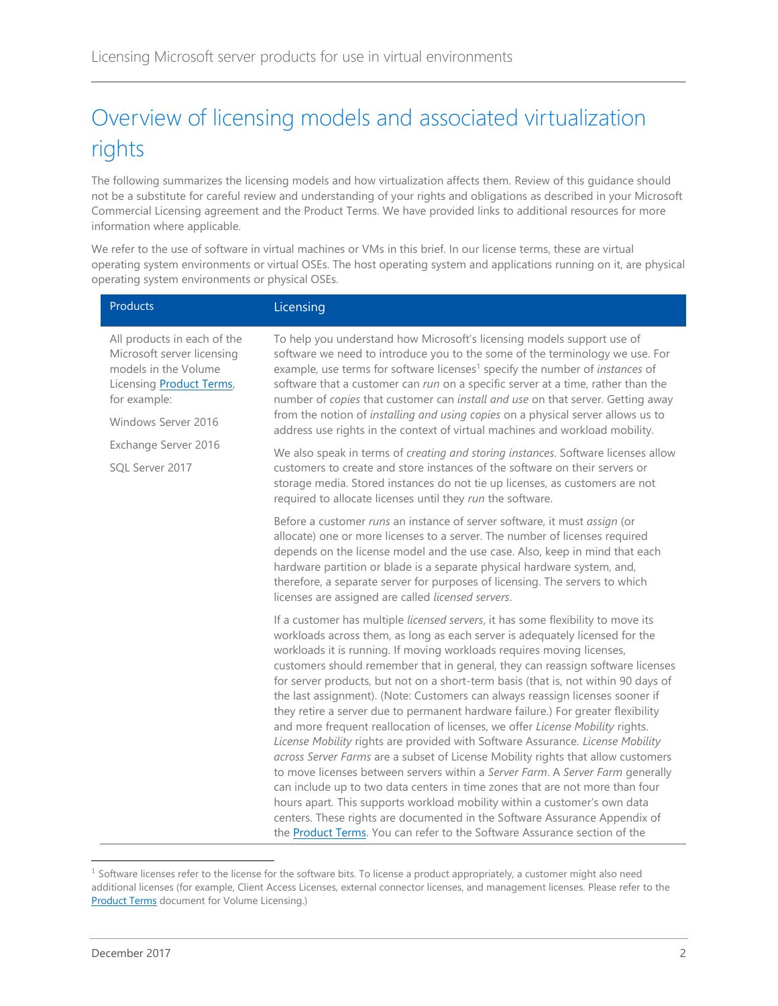# <span id="page-1-0"></span>Overview of licensing models and associated virtualization rights

The following summarizes the licensing models and how virtualization affects them. Review of this guidance should not be a substitute for careful review and understanding of your rights and obligations as described in your Microsoft Commercial Licensing agreement and the Product Terms. We have provided links to additional resources for more information where applicable.

We refer to the use of software in virtual machines or VMs in this brief. In our license terms, these are virtual operating system environments or virtual OSEs. The host operating system and applications running on it, are physical operating system environments or physical OSEs.

|  | <b>Products</b>                                                                                                                                              | Licensing                                                                                                                                                                                                                                                                                                                                                                                                                                                                                                                                                                                                                                                                                                                                                                                                                                                                                                                                                                                                                                                                                                                                                                                                                                                        |
|--|--------------------------------------------------------------------------------------------------------------------------------------------------------------|------------------------------------------------------------------------------------------------------------------------------------------------------------------------------------------------------------------------------------------------------------------------------------------------------------------------------------------------------------------------------------------------------------------------------------------------------------------------------------------------------------------------------------------------------------------------------------------------------------------------------------------------------------------------------------------------------------------------------------------------------------------------------------------------------------------------------------------------------------------------------------------------------------------------------------------------------------------------------------------------------------------------------------------------------------------------------------------------------------------------------------------------------------------------------------------------------------------------------------------------------------------|
|  | All products in each of the<br>Microsoft server licensing<br>models in the Volume<br>Licensing <b>Product Terms</b> ,<br>for example:<br>Windows Server 2016 | To help you understand how Microsoft's licensing models support use of<br>software we need to introduce you to the some of the terminology we use. For<br>example, use terms for software licenses <sup>1</sup> specify the number of <i>instances</i> of<br>software that a customer can run on a specific server at a time, rather than the<br>number of copies that customer can install and use on that server. Getting away<br>from the notion of installing and using copies on a physical server allows us to<br>address use rights in the context of virtual machines and workload mobility.                                                                                                                                                                                                                                                                                                                                                                                                                                                                                                                                                                                                                                                             |
|  | Exchange Server 2016<br>SQL Server 2017                                                                                                                      | We also speak in terms of creating and storing instances. Software licenses allow<br>customers to create and store instances of the software on their servers or<br>storage media. Stored instances do not tie up licenses, as customers are not<br>required to allocate licenses until they run the software.                                                                                                                                                                                                                                                                                                                                                                                                                                                                                                                                                                                                                                                                                                                                                                                                                                                                                                                                                   |
|  |                                                                                                                                                              | Before a customer runs an instance of server software, it must assign (or<br>allocate) one or more licenses to a server. The number of licenses required<br>depends on the license model and the use case. Also, keep in mind that each<br>hardware partition or blade is a separate physical hardware system, and,<br>therefore, a separate server for purposes of licensing. The servers to which<br>licenses are assigned are called licensed servers.                                                                                                                                                                                                                                                                                                                                                                                                                                                                                                                                                                                                                                                                                                                                                                                                        |
|  |                                                                                                                                                              | If a customer has multiple licensed servers, it has some flexibility to move its<br>workloads across them, as long as each server is adequately licensed for the<br>workloads it is running. If moving workloads requires moving licenses,<br>customers should remember that in general, they can reassign software licenses<br>for server products, but not on a short-term basis (that is, not within 90 days of<br>the last assignment). (Note: Customers can always reassign licenses sooner if<br>they retire a server due to permanent hardware failure.) For greater flexibility<br>and more frequent reallocation of licenses, we offer License Mobility rights.<br>License Mobility rights are provided with Software Assurance. License Mobility<br>across Server Farms are a subset of License Mobility rights that allow customers<br>to move licenses between servers within a Server Farm. A Server Farm generally<br>can include up to two data centers in time zones that are not more than four<br>hours apart. This supports workload mobility within a customer's own data<br>centers. These rights are documented in the Software Assurance Appendix of<br>the <b>Product Terms</b> . You can refer to the Software Assurance section of the |

 $1$  Software licenses refer to the license for the software bits. To license a product appropriately, a customer might also need additional licenses (for example, Client Access Licenses, external connector licenses, and management licenses. Please refer to the **[Product Terms](http://www.microsoft.com/licensing/about-licensing/product-licensing.aspx)** document for Volume Licensing.)

l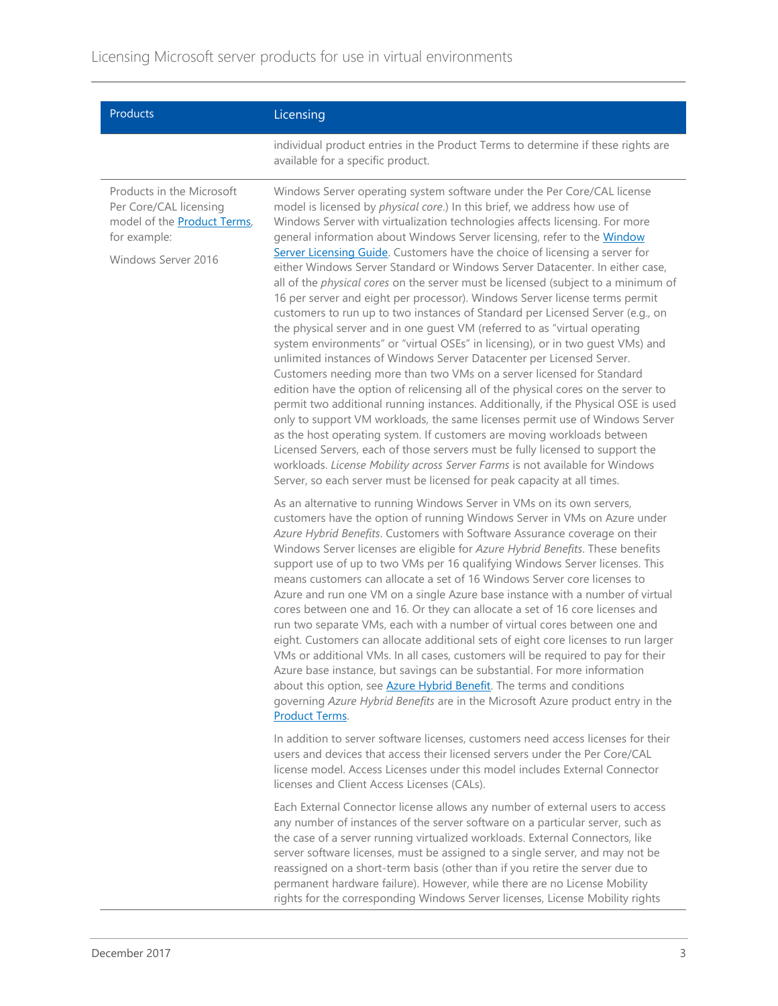| Products                                                                                                                          | Licensing                                                                                                                                                                                                                                                                                                                                                                                                                                                                                                                                                                                                                                                                                                                                                                                                                                                                                                                                                                                                                                                                                                                                                                                                                                                                                                                                                                                                                                                                                                                                                                                                                               |
|-----------------------------------------------------------------------------------------------------------------------------------|-----------------------------------------------------------------------------------------------------------------------------------------------------------------------------------------------------------------------------------------------------------------------------------------------------------------------------------------------------------------------------------------------------------------------------------------------------------------------------------------------------------------------------------------------------------------------------------------------------------------------------------------------------------------------------------------------------------------------------------------------------------------------------------------------------------------------------------------------------------------------------------------------------------------------------------------------------------------------------------------------------------------------------------------------------------------------------------------------------------------------------------------------------------------------------------------------------------------------------------------------------------------------------------------------------------------------------------------------------------------------------------------------------------------------------------------------------------------------------------------------------------------------------------------------------------------------------------------------------------------------------------------|
|                                                                                                                                   | individual product entries in the Product Terms to determine if these rights are<br>available for a specific product.                                                                                                                                                                                                                                                                                                                                                                                                                                                                                                                                                                                                                                                                                                                                                                                                                                                                                                                                                                                                                                                                                                                                                                                                                                                                                                                                                                                                                                                                                                                   |
| Products in the Microsoft<br>Per Core/CAL licensing<br>model of the <b>Product Terms</b> ,<br>for example:<br>Windows Server 2016 | Windows Server operating system software under the Per Core/CAL license<br>model is licensed by physical core.) In this brief, we address how use of<br>Windows Server with virtualization technologies affects licensing. For more<br>general information about Windows Server licensing, refer to the Window<br>Server Licensing Guide. Customers have the choice of licensing a server for<br>either Windows Server Standard or Windows Server Datacenter. In either case,<br>all of the physical cores on the server must be licensed (subject to a minimum of<br>16 per server and eight per processor). Windows Server license terms permit<br>customers to run up to two instances of Standard per Licensed Server (e.g., on<br>the physical server and in one guest VM (referred to as "virtual operating<br>system environments" or "virtual OSEs" in licensing), or in two guest VMs) and<br>unlimited instances of Windows Server Datacenter per Licensed Server.<br>Customers needing more than two VMs on a server licensed for Standard<br>edition have the option of relicensing all of the physical cores on the server to<br>permit two additional running instances. Additionally, if the Physical OSE is used<br>only to support VM workloads, the same licenses permit use of Windows Server<br>as the host operating system. If customers are moving workloads between<br>Licensed Servers, each of those servers must be fully licensed to support the<br>workloads. License Mobility across Server Farms is not available for Windows<br>Server, so each server must be licensed for peak capacity at all times. |
|                                                                                                                                   | As an alternative to running Windows Server in VMs on its own servers,<br>customers have the option of running Windows Server in VMs on Azure under<br>Azure Hybrid Benefits. Customers with Software Assurance coverage on their<br>Windows Server licenses are eligible for Azure Hybrid Benefits. These benefits<br>support use of up to two VMs per 16 qualifying Windows Server licenses. This<br>means customers can allocate a set of 16 Windows Server core licenses to<br>Azure and run one VM on a single Azure base instance with a number of virtual<br>cores between one and 16. Or they can allocate a set of 16 core licenses and<br>run two separate VMs, each with a number of virtual cores between one and<br>eight. Customers can allocate additional sets of eight core licenses to run larger<br>VMs or additional VMs. In all cases, customers will be required to pay for their<br>Azure base instance, but savings can be substantial. For more information<br>about this option, see <b>Azure Hybrid Benefit</b> . The terms and conditions<br>governing Azure Hybrid Benefits are in the Microsoft Azure product entry in the<br>Product Terms.                                                                                                                                                                                                                                                                                                                                                                                                                                                              |
|                                                                                                                                   | In addition to server software licenses, customers need access licenses for their<br>users and devices that access their licensed servers under the Per Core/CAL<br>license model. Access Licenses under this model includes External Connector<br>licenses and Client Access Licenses (CALs).                                                                                                                                                                                                                                                                                                                                                                                                                                                                                                                                                                                                                                                                                                                                                                                                                                                                                                                                                                                                                                                                                                                                                                                                                                                                                                                                          |
|                                                                                                                                   | Each External Connector license allows any number of external users to access<br>any number of instances of the server software on a particular server, such as<br>the case of a server running virtualized workloads. External Connectors, like<br>server software licenses, must be assigned to a single server, and may not be<br>reassigned on a short-term basis (other than if you retire the server due to<br>permanent hardware failure). However, while there are no License Mobility<br>rights for the corresponding Windows Server licenses, License Mobility rights                                                                                                                                                                                                                                                                                                                                                                                                                                                                                                                                                                                                                                                                                                                                                                                                                                                                                                                                                                                                                                                         |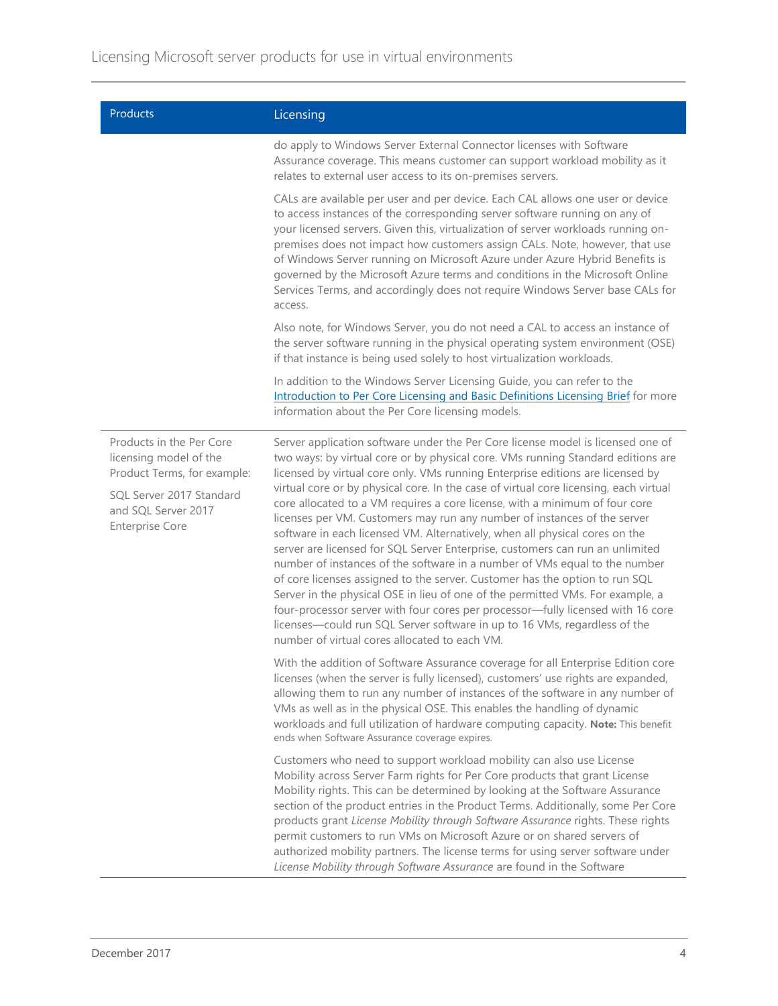| <b>Products</b>                                                                                                                      | Licensing                                                                                                                                                                                                                                                                                                                                                                                                                                                                                                                                                                                                                                                                                                |  |  |
|--------------------------------------------------------------------------------------------------------------------------------------|----------------------------------------------------------------------------------------------------------------------------------------------------------------------------------------------------------------------------------------------------------------------------------------------------------------------------------------------------------------------------------------------------------------------------------------------------------------------------------------------------------------------------------------------------------------------------------------------------------------------------------------------------------------------------------------------------------|--|--|
|                                                                                                                                      | do apply to Windows Server External Connector licenses with Software<br>Assurance coverage. This means customer can support workload mobility as it<br>relates to external user access to its on-premises servers.                                                                                                                                                                                                                                                                                                                                                                                                                                                                                       |  |  |
|                                                                                                                                      | CALs are available per user and per device. Each CAL allows one user or device<br>to access instances of the corresponding server software running on any of<br>your licensed servers. Given this, virtualization of server workloads running on-<br>premises does not impact how customers assign CALs. Note, however, that use<br>of Windows Server running on Microsoft Azure under Azure Hybrid Benefits is<br>governed by the Microsoft Azure terms and conditions in the Microsoft Online<br>Services Terms, and accordingly does not require Windows Server base CALs for<br>access.                                                                                                              |  |  |
|                                                                                                                                      | Also note, for Windows Server, you do not need a CAL to access an instance of<br>the server software running in the physical operating system environment (OSE)<br>if that instance is being used solely to host virtualization workloads.                                                                                                                                                                                                                                                                                                                                                                                                                                                               |  |  |
|                                                                                                                                      | In addition to the Windows Server Licensing Guide, you can refer to the<br>Introduction to Per Core Licensing and Basic Definitions Licensing Brief for more<br>information about the Per Core licensing models.                                                                                                                                                                                                                                                                                                                                                                                                                                                                                         |  |  |
| Products in the Per Core<br>licensing model of the<br>Product Terms, for example:<br>SQL Server 2017 Standard<br>and SQL Server 2017 | Server application software under the Per Core license model is licensed one of<br>two ways: by virtual core or by physical core. VMs running Standard editions are<br>licensed by virtual core only. VMs running Enterprise editions are licensed by<br>virtual core or by physical core. In the case of virtual core licensing, each virtual<br>core allocated to a VM requires a core license, with a minimum of four core                                                                                                                                                                                                                                                                            |  |  |
| <b>Enterprise Core</b>                                                                                                               | licenses per VM. Customers may run any number of instances of the server<br>software in each licensed VM. Alternatively, when all physical cores on the<br>server are licensed for SQL Server Enterprise, customers can run an unlimited<br>number of instances of the software in a number of VMs equal to the number<br>of core licenses assigned to the server. Customer has the option to run SQL<br>Server in the physical OSE in lieu of one of the permitted VMs. For example, a<br>four-processor server with four cores per processor-fully licensed with 16 core<br>licenses—could run SQL Server software in up to 16 VMs, regardless of the<br>number of virtual cores allocated to each VM. |  |  |
|                                                                                                                                      | With the addition of Software Assurance coverage for all Enterprise Edition core<br>licenses (when the server is fully licensed), customers' use rights are expanded,<br>allowing them to run any number of instances of the software in any number of<br>VMs as well as in the physical OSE. This enables the handling of dynamic<br>workloads and full utilization of hardware computing capacity. Note: This benefit<br>ends when Software Assurance coverage expires.                                                                                                                                                                                                                                |  |  |
|                                                                                                                                      | Customers who need to support workload mobility can also use License<br>Mobility across Server Farm rights for Per Core products that grant License<br>Mobility rights. This can be determined by looking at the Software Assurance<br>section of the product entries in the Product Terms. Additionally, some Per Core<br>products grant License Mobility through Software Assurance rights. These rights<br>permit customers to run VMs on Microsoft Azure or on shared servers of<br>authorized mobility partners. The license terms for using server software under<br>License Mobility through Software Assurance are found in the Software                                                         |  |  |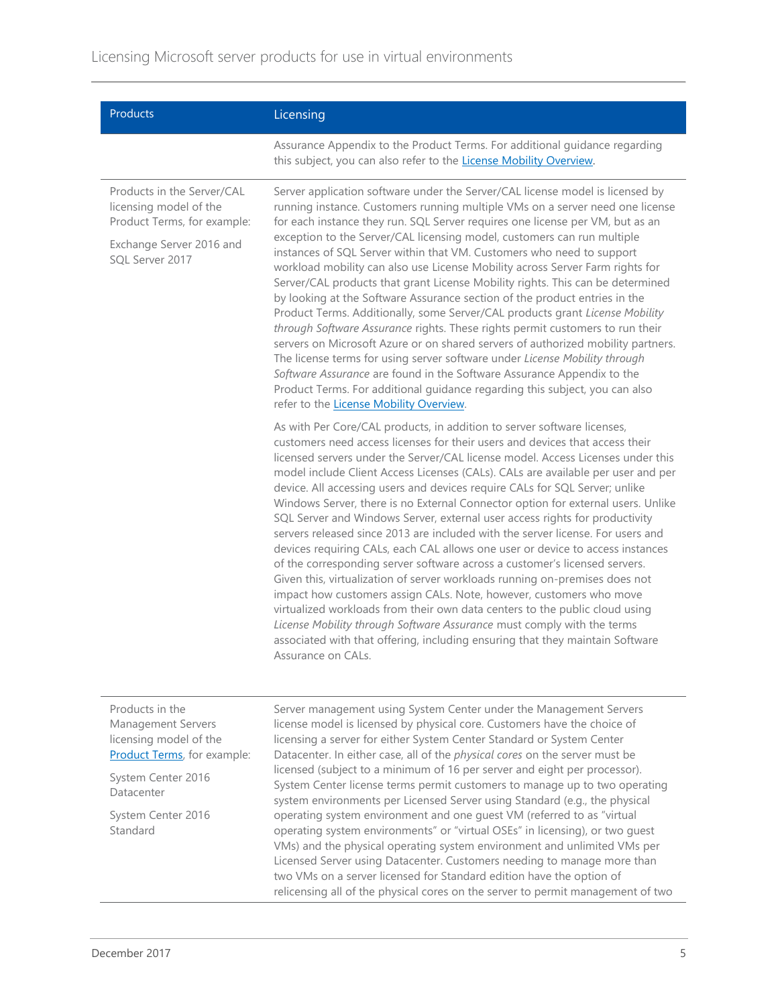| Products                                                                                                                                  | Licensing                                                                                                                                                                                                                                                                                                                                                                                                                                                                                                                                                                                                                                                                                                                                                                                                                                                                                                                                                                                                                                                                                                                                                                                                                                                 |
|-------------------------------------------------------------------------------------------------------------------------------------------|-----------------------------------------------------------------------------------------------------------------------------------------------------------------------------------------------------------------------------------------------------------------------------------------------------------------------------------------------------------------------------------------------------------------------------------------------------------------------------------------------------------------------------------------------------------------------------------------------------------------------------------------------------------------------------------------------------------------------------------------------------------------------------------------------------------------------------------------------------------------------------------------------------------------------------------------------------------------------------------------------------------------------------------------------------------------------------------------------------------------------------------------------------------------------------------------------------------------------------------------------------------|
|                                                                                                                                           | Assurance Appendix to the Product Terms. For additional guidance regarding<br>this subject, you can also refer to the License Mobility Overview.                                                                                                                                                                                                                                                                                                                                                                                                                                                                                                                                                                                                                                                                                                                                                                                                                                                                                                                                                                                                                                                                                                          |
| Products in the Server/CAL<br>licensing model of the<br>Product Terms, for example:                                                       | Server application software under the Server/CAL license model is licensed by<br>running instance. Customers running multiple VMs on a server need one license<br>for each instance they run. SQL Server requires one license per VM, but as an                                                                                                                                                                                                                                                                                                                                                                                                                                                                                                                                                                                                                                                                                                                                                                                                                                                                                                                                                                                                           |
| Exchange Server 2016 and<br>SQL Server 2017                                                                                               | exception to the Server/CAL licensing model, customers can run multiple<br>instances of SQL Server within that VM. Customers who need to support<br>workload mobility can also use License Mobility across Server Farm rights for<br>Server/CAL products that grant License Mobility rights. This can be determined<br>by looking at the Software Assurance section of the product entries in the<br>Product Terms. Additionally, some Server/CAL products grant License Mobility<br>through Software Assurance rights. These rights permit customers to run their<br>servers on Microsoft Azure or on shared servers of authorized mobility partners.<br>The license terms for using server software under License Mobility through<br>Software Assurance are found in the Software Assurance Appendix to the<br>Product Terms. For additional guidance regarding this subject, you can also<br>refer to the License Mobility Overview.                                                                                                                                                                                                                                                                                                                  |
|                                                                                                                                           | As with Per Core/CAL products, in addition to server software licenses,<br>customers need access licenses for their users and devices that access their<br>licensed servers under the Server/CAL license model. Access Licenses under this<br>model include Client Access Licenses (CALs). CALs are available per user and per<br>device. All accessing users and devices require CALs for SQL Server; unlike<br>Windows Server, there is no External Connector option for external users. Unlike<br>SQL Server and Windows Server, external user access rights for productivity<br>servers released since 2013 are included with the server license. For users and<br>devices requiring CALs, each CAL allows one user or device to access instances<br>of the corresponding server software across a customer's licensed servers.<br>Given this, virtualization of server workloads running on-premises does not<br>impact how customers assign CALs. Note, however, customers who move<br>virtualized workloads from their own data centers to the public cloud using<br>License Mobility through Software Assurance must comply with the terms<br>associated with that offering, including ensuring that they maintain Software<br>Assurance on CALs. |
| Products in the<br><b>Management Servers</b><br>licensing model of the<br>Product Terms, for example:<br>System Center 2016<br>Datacenter | Server management using System Center under the Management Servers<br>license model is licensed by physical core. Customers have the choice of<br>licensing a server for either System Center Standard or System Center<br>Datacenter. In either case, all of the physical cores on the server must be<br>licensed (subject to a minimum of 16 per server and eight per processor).<br>System Center license terms permit customers to manage up to two operating                                                                                                                                                                                                                                                                                                                                                                                                                                                                                                                                                                                                                                                                                                                                                                                         |

system environments per Licensed Server using Standard (e.g., the physical operating system environment and one guest VM (referred to as "virtual operating system environments" or "virtual OSEs" in licensing), or two guest VMs) and the physical operating system environment and unlimited VMs per Licensed Server using Datacenter. Customers needing to manage more than two VMs on a server licensed for Standard edition have the option of

relicensing all of the physical cores on the server to permit management of two

Standard

System Center 2016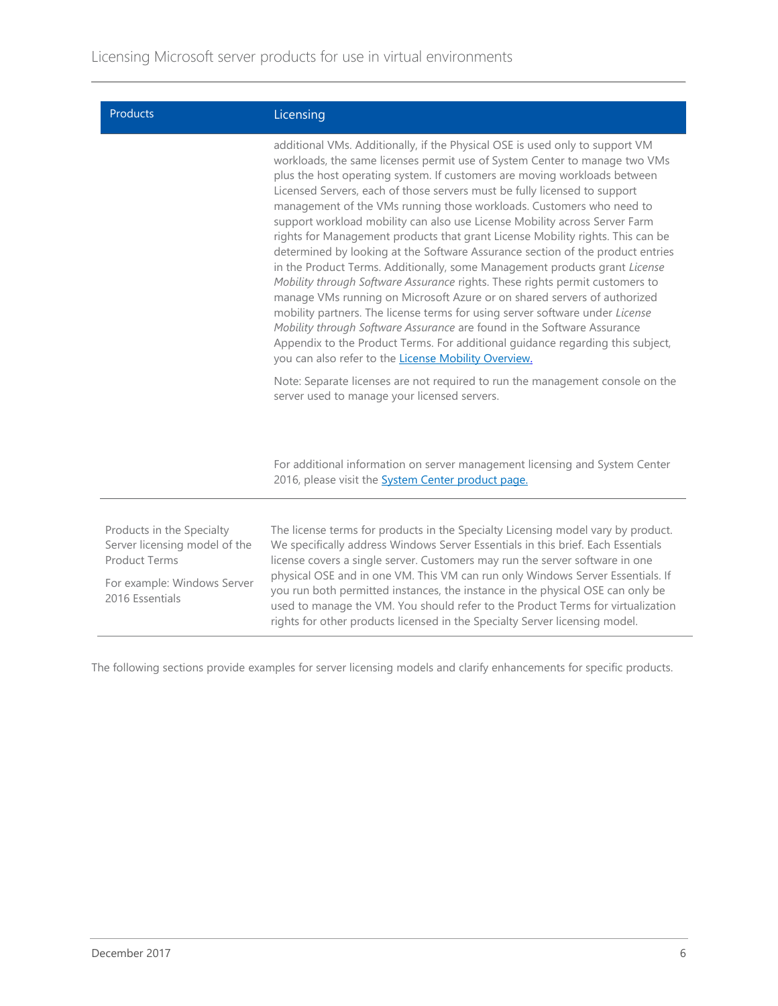| Products                                                                           | Licensing                                                                                                                                                                                                                                                                                                                                                                                                                                                                                                                                                                                                                                                                                                                                                                                                                                                                                                                                                                                                                                                                                                                                                                                     |
|------------------------------------------------------------------------------------|-----------------------------------------------------------------------------------------------------------------------------------------------------------------------------------------------------------------------------------------------------------------------------------------------------------------------------------------------------------------------------------------------------------------------------------------------------------------------------------------------------------------------------------------------------------------------------------------------------------------------------------------------------------------------------------------------------------------------------------------------------------------------------------------------------------------------------------------------------------------------------------------------------------------------------------------------------------------------------------------------------------------------------------------------------------------------------------------------------------------------------------------------------------------------------------------------|
|                                                                                    | additional VMs. Additionally, if the Physical OSE is used only to support VM<br>workloads, the same licenses permit use of System Center to manage two VMs<br>plus the host operating system. If customers are moving workloads between<br>Licensed Servers, each of those servers must be fully licensed to support<br>management of the VMs running those workloads. Customers who need to<br>support workload mobility can also use License Mobility across Server Farm<br>rights for Management products that grant License Mobility rights. This can be<br>determined by looking at the Software Assurance section of the product entries<br>in the Product Terms. Additionally, some Management products grant License<br>Mobility through Software Assurance rights. These rights permit customers to<br>manage VMs running on Microsoft Azure or on shared servers of authorized<br>mobility partners. The license terms for using server software under License<br>Mobility through Software Assurance are found in the Software Assurance<br>Appendix to the Product Terms. For additional guidance regarding this subject,<br>you can also refer to the License Mobility Overview. |
|                                                                                    | Note: Separate licenses are not required to run the management console on the<br>server used to manage your licensed servers.                                                                                                                                                                                                                                                                                                                                                                                                                                                                                                                                                                                                                                                                                                                                                                                                                                                                                                                                                                                                                                                                 |
|                                                                                    | For additional information on server management licensing and System Center<br>2016, please visit the <b>System Center product page.</b>                                                                                                                                                                                                                                                                                                                                                                                                                                                                                                                                                                                                                                                                                                                                                                                                                                                                                                                                                                                                                                                      |
|                                                                                    |                                                                                                                                                                                                                                                                                                                                                                                                                                                                                                                                                                                                                                                                                                                                                                                                                                                                                                                                                                                                                                                                                                                                                                                               |
| Products in the Specialty<br>Server licensing model of the<br><b>Product Terms</b> | The license terms for products in the Specialty Licensing model vary by product.<br>We specifically address Windows Server Essentials in this brief. Each Essentials<br>license covers a single server. Customers may run the server software in one<br>physical OSE and in one VM. This VM can run only Windows Server Essentials. If<br>you run both permitted instances, the instance in the physical OSE can only be<br>used to manage the VM. You should refer to the Product Terms for virtualization<br>rights for other products licensed in the Specialty Server licensing model.                                                                                                                                                                                                                                                                                                                                                                                                                                                                                                                                                                                                    |
| For example: Windows Server<br>2016 Essentials                                     |                                                                                                                                                                                                                                                                                                                                                                                                                                                                                                                                                                                                                                                                                                                                                                                                                                                                                                                                                                                                                                                                                                                                                                                               |

The following sections provide examples for server licensing models and clarify enhancements for specific products.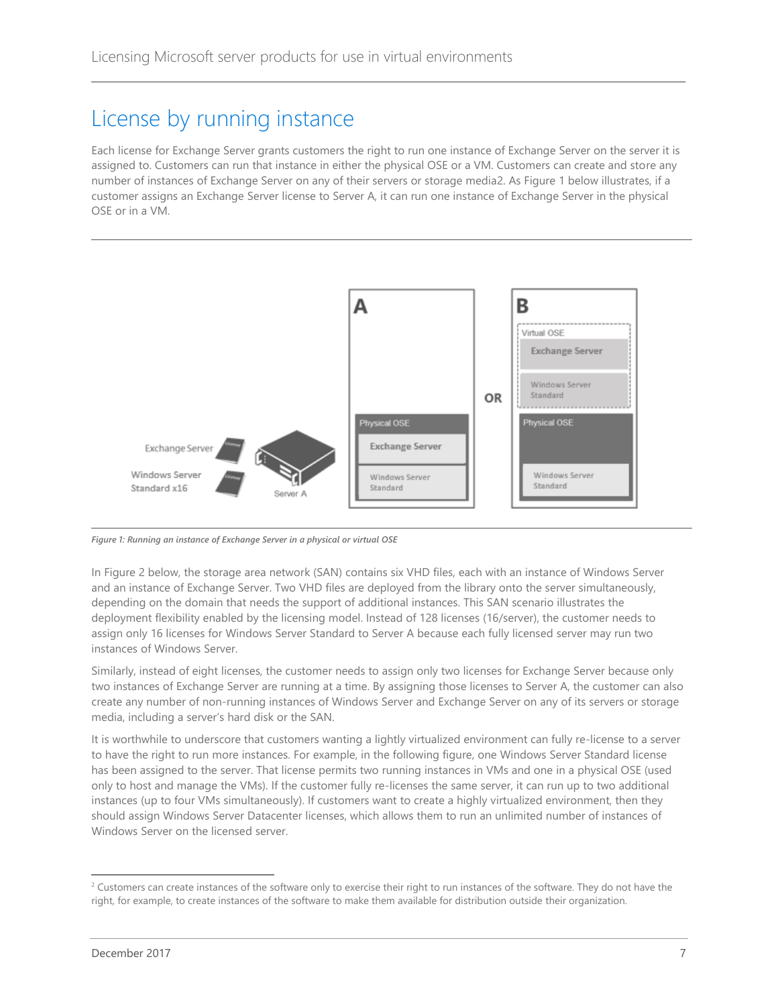#### <span id="page-6-0"></span>License by running instance

Each license for Exchange Server grants customers the right to run one instance of Exchange Server on the server it is assigned to. Customers can run that instance in either the physical OSE or a VM. Customers can create and store any number of instances of Exchange Server on any of their servers or storage media2. As Figure 1 below illustrates, if a customer assigns an Exchange Server license to Server A, it can run one instance of Exchange Server in the physical OSE or in a VM.



*Figure 1: Running an instance of Exchange Server in a physical or virtual OSE*

In Figure 2 below, the storage area network (SAN) contains six VHD files, each with an instance of Windows Server and an instance of Exchange Server. Two VHD files are deployed from the library onto the server simultaneously, depending on the domain that needs the support of additional instances. This SAN scenario illustrates the deployment flexibility enabled by the licensing model. Instead of 128 licenses (16/server), the customer needs to assign only 16 licenses for Windows Server Standard to Server A because each fully licensed server may run two instances of Windows Server.

Similarly, instead of eight licenses, the customer needs to assign only two licenses for Exchange Server because only two instances of Exchange Server are running at a time. By assigning those licenses to Server A, the customer can also create any number of non-running instances of Windows Server and Exchange Server on any of its servers or storage media, including a server's hard disk or the SAN.

It is worthwhile to underscore that customers wanting a lightly virtualized environment can fully re-license to a server to have the right to run more instances. For example, in the following figure, one Windows Server Standard license has been assigned to the server. That license permits two running instances in VMs and one in a physical OSE (used only to host and manage the VMs). If the customer fully re-licenses the same server, it can run up to two additional instances (up to four VMs simultaneously). If customers want to create a highly virtualized environment, then they should assign Windows Server Datacenter licenses, which allows them to run an unlimited number of instances of Windows Server on the licensed server.

l

<sup>&</sup>lt;sup>2</sup> Customers can create instances of the software only to exercise their right to run instances of the software. They do not have the right, for example, to create instances of the software to make them available for distribution outside their organization.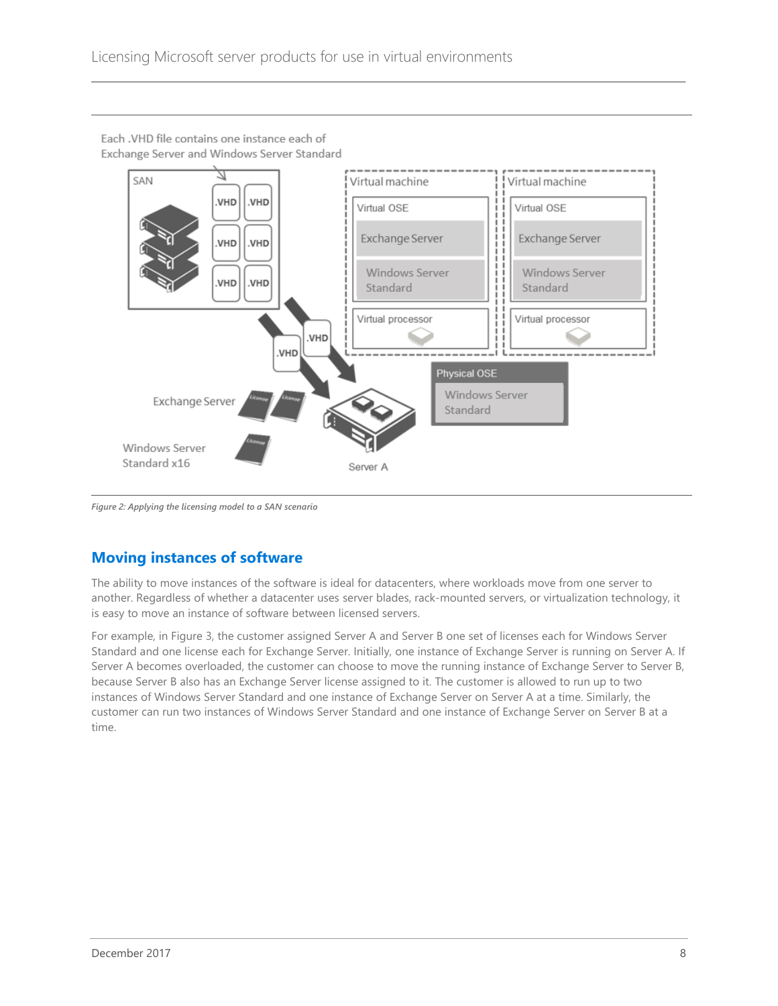

Each .VHD file contains one instance each of Exchange Server and Windows Server Standard

*Figure 2: Applying the licensing model to a SAN scenario*

#### <span id="page-7-0"></span>**Moving instances of software**

The ability to move instances of the software is ideal for datacenters, where workloads move from one server to another. Regardless of whether a datacenter uses server blades, rack-mounted servers, or virtualization technology, it is easy to move an instance of software between licensed servers.

For example, in Figure 3, the customer assigned Server A and Server B one set of licenses each for Windows Server Standard and one license each for Exchange Server. Initially, one instance of Exchange Server is running on Server A. If Server A becomes overloaded, the customer can choose to move the running instance of Exchange Server to Server B, because Server B also has an Exchange Server license assigned to it. The customer is allowed to run up to two instances of Windows Server Standard and one instance of Exchange Server on Server A at a time. Similarly, the customer can run two instances of Windows Server Standard and one instance of Exchange Server on Server B at a time.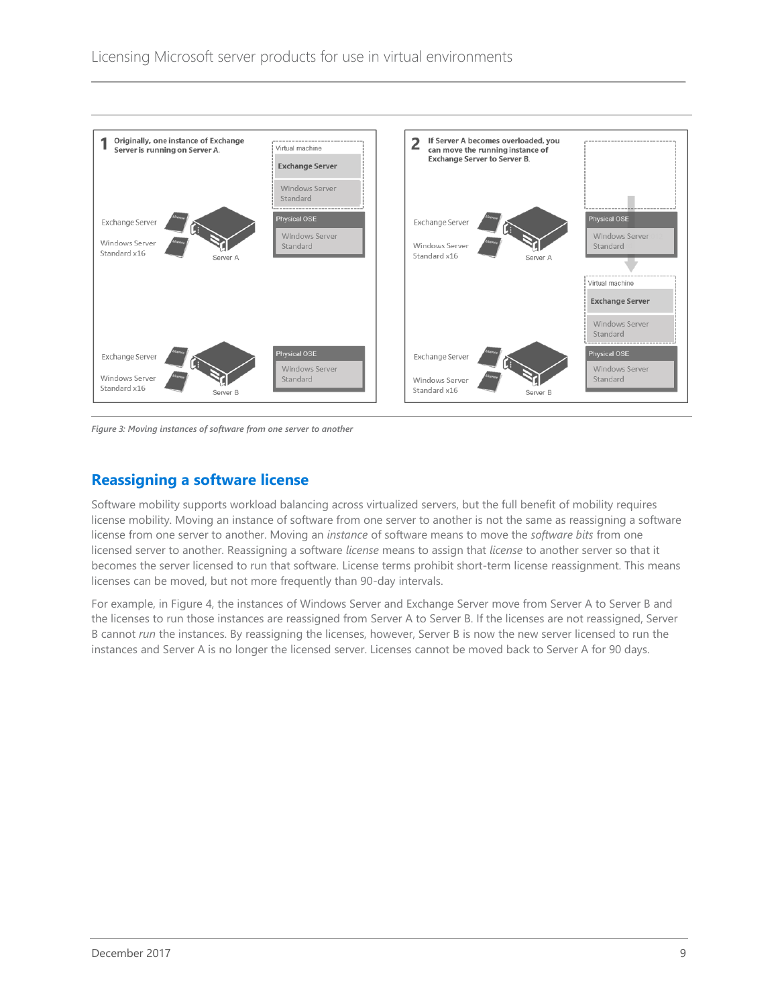

*Figure 3: Moving instances of software from one server to another*

#### <span id="page-8-0"></span>**Reassigning a software license**

Software mobility supports workload balancing across virtualized servers, but the full benefit of mobility requires license mobility. Moving an instance of software from one server to another is not the same as reassigning a software license from one server to another. Moving an *instance* of software means to move the *software bits* from one licensed server to another. Reassigning a software *license* means to assign that *license* to another server so that it becomes the server licensed to run that software. License terms prohibit short-term license reassignment. This means licenses can be moved, but not more frequently than 90-day intervals.

For example, in Figure 4, the instances of Windows Server and Exchange Server move from Server A to Server B and the licenses to run those instances are reassigned from Server A to Server B. If the licenses are not reassigned, Server B cannot *run* the instances. By reassigning the licenses, however, Server B is now the new server licensed to run the instances and Server A is no longer the licensed server. Licenses cannot be moved back to Server A for 90 days.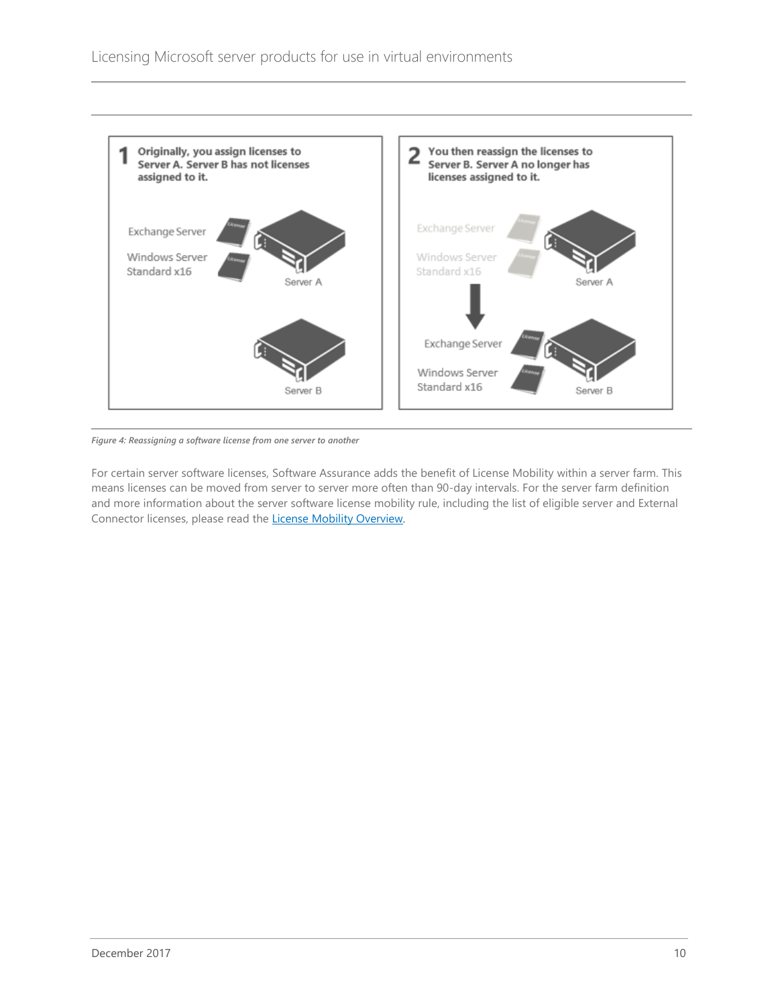

*Figure 4: Reassigning a software license from one server to another*

For certain server software licenses, Software Assurance adds the benefit of License Mobility within a server farm. This means licenses can be moved from server to server more often than 90-day intervals. For the server farm definition and more information about the server software license mobility rule, including the list of eligible server and External Connector licenses, please read the [License Mobility Overview](http://download.microsoft.com/download/7/9/b/79bd917e-760b-48b6-a266-796b3e47c47a/license_mobility_through_microsoft_software_assurance_overview.pdf).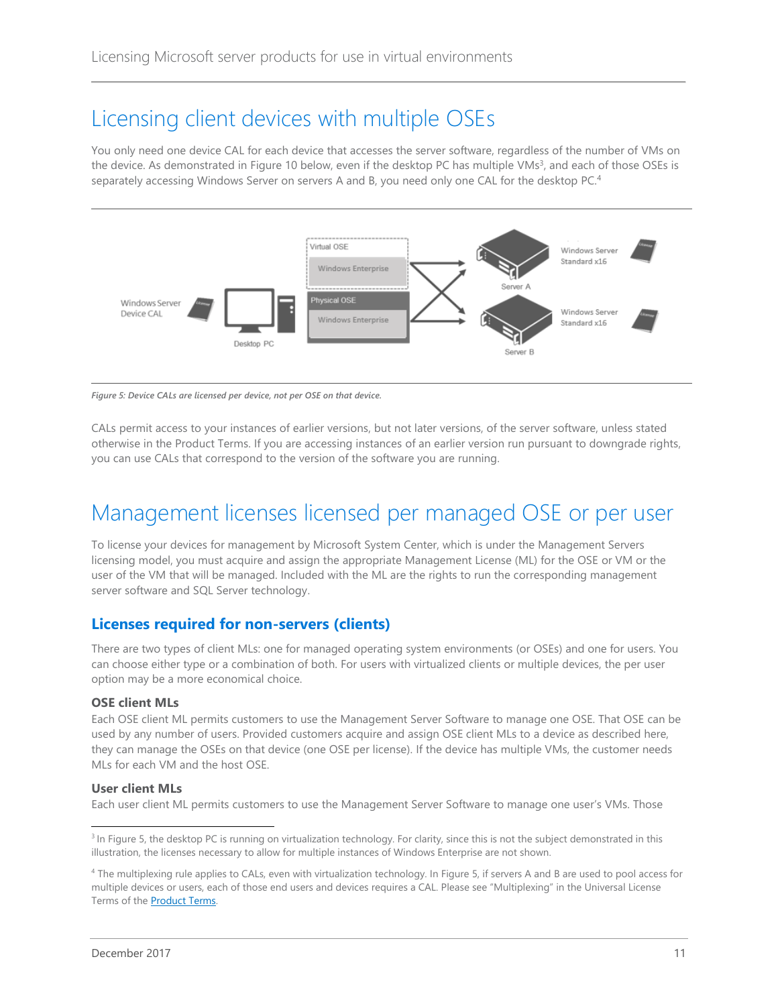### <span id="page-10-0"></span>Licensing client devices with multiple OSEs

You only need one device CAL for each device that accesses the server software, regardless of the number of VMs on the device. As demonstrated in Figure 10 below, even if the desktop PC has multiple VMs<sup>3</sup>, and each of those OSEs is separately accessing Windows Server on servers A and B, you need only one CAL for the desktop PC.<sup>4</sup>



*Figure 5: Device CALs are licensed per device, not per OSE on that device.*

CALs permit access to your instances of earlier versions, but not later versions, of the server software, unless stated otherwise in the Product Terms. If you are accessing instances of an earlier version run pursuant to downgrade rights, you can use CALs that correspond to the version of the software you are running.

## <span id="page-10-1"></span>Management licenses licensed per managed OSE or per user

To license your devices for management by Microsoft System Center, which is under the Management Servers licensing model, you must acquire and assign the appropriate Management License (ML) for the OSE or VM or the user of the VM that will be managed. Included with the ML are the rights to run the corresponding management server software and SQL Server technology.

#### <span id="page-10-2"></span>**Licenses required for non-servers (clients)**

There are two types of client MLs: one for managed operating system environments (or OSEs) and one for users. You can choose either type or a combination of both. For users with virtualized clients or multiple devices, the per user option may be a more economical choice.

#### **OSE client MLs**

Each OSE client ML permits customers to use the Management Server Software to manage one OSE. That OSE can be used by any number of users. Provided customers acquire and assign OSE client MLs to a device as described here, they can manage the OSEs on that device (one OSE per license). If the device has multiple VMs, the customer needs MLs for each VM and the host OSE.

#### **User client MLs**

l

Each user client ML permits customers to use the Management Server Software to manage one user's VMs. Those

<sup>&</sup>lt;sup>3</sup> In Figure 5, the desktop PC is running on virtualization technology. For clarity, since this is not the subject demonstrated in this illustration, the licenses necessary to allow for multiple instances of Windows Enterprise are not shown.

<sup>4</sup> The multiplexing rule applies to CALs, even with virtualization technology. In Figure 5, if servers A and B are used to pool access for multiple devices or users, each of those end users and devices requires a CAL. Please see "Multiplexing" in the Universal License Terms of the **Product Terms**.